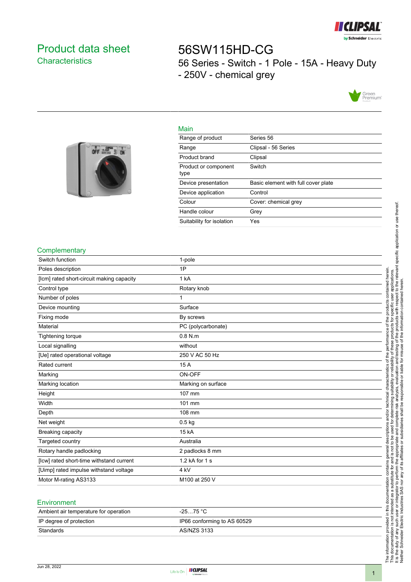

## <span id="page-0-0"></span>Product data sheet **Characteristics**

# 56SW115HD-CG 56 Series - Switch - 1 Pole - 15A - Heavy Duty - 250V - chemical grey





| Main                         |                                     |
|------------------------------|-------------------------------------|
| Range of product             | Series 56                           |
| Range                        | Clipsal - 56 Series                 |
| Product brand                | Clipsal                             |
| Product or component<br>type | Switch                              |
| Device presentation          | Basic element with full cover plate |
| Device application           | Control                             |
| Colour                       | Cover: chemical grey                |
| Handle colour                | Grev                                |
| Suitability for isolation    | Yes                                 |

#### **Complementary**

| Switch function                           | 1-pole             |
|-------------------------------------------|--------------------|
| Poles description                         | 1P                 |
| [lcm] rated short-circuit making capacity | 1 kA               |
| Control type                              | Rotary knob        |
| Number of poles                           | $\mathbf{1}$       |
| Device mounting                           | Surface            |
| Fixing mode                               | By screws          |
| Material                                  | PC (polycarbonate) |
| Tightening torque                         | $0.8$ N.m.         |
| Local signalling                          | without            |
| [Ue] rated operational voltage            | 250 V AC 50 Hz     |
| Rated current                             | 15 A               |
| Marking                                   | ON-OFF             |
| Marking location                          | Marking on surface |
| Height                                    | 107 mm             |
| Width                                     | 101 mm             |
| Depth                                     | 108 mm             |
| Net weight                                | $0.5$ kg           |
| Breaking capacity                         | 15 kA              |
| Targeted country                          | Australia          |
| Rotary handle padlocking                  | 2 padlocks 8 mm    |
| [Icw] rated short-time withstand current  | 1.2 kA for 1 s     |
| [Uimp] rated impulse withstand voltage    | 4 kV               |
| Motor M-rating AS3133                     | M100 at 250 V      |

#### **Environment**

| Ambient air temperature for operation | $-2575 °C$                  |
|---------------------------------------|-----------------------------|
| IP degree of protection               | IP66 conforming to AS 60529 |
| Standards                             | AS/NZS 3133                 |